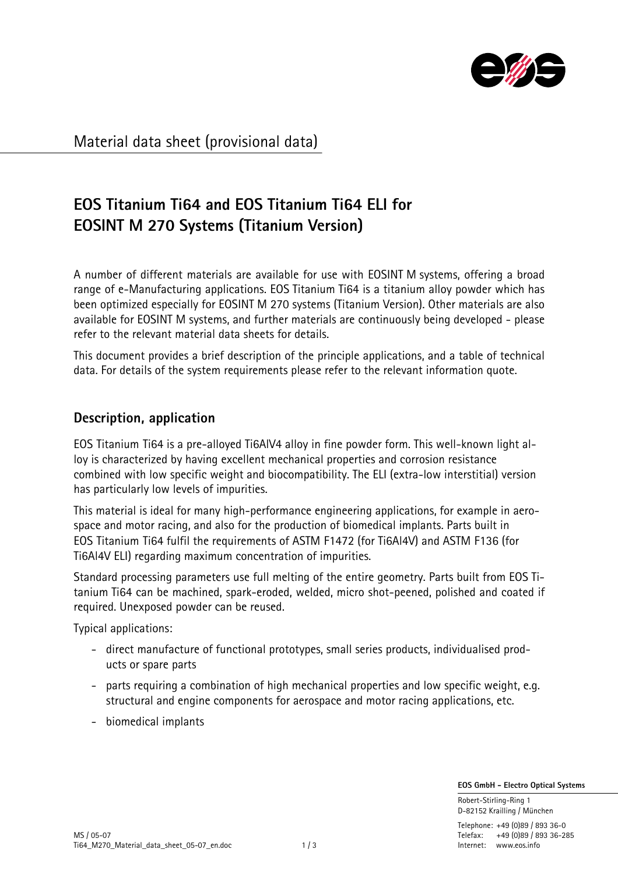

Material data sheet (provisional data)

# **EOS Titanium Ti64 and EOS Titanium Ti64 ELI for EOSINT M 270 Systems (Titanium Version)**

A number of different materials are available for use with EOSINT M systems, offering a broad range of e-Manufacturing applications. EOS Titanium Ti64 is a titanium alloy powder which has been optimized especially for EOSINT M 270 systems (Titanium Version). Other materials are also available for EOSINT M systems, and further materials are continuously being developed - please refer to the relevant material data sheets for details.

This document provides a brief description of the principle applications, and a table of technical data. For details of the system requirements please refer to the relevant information quote.

## **Description, application**

EOS Titanium Ti64 is a pre-alloyed Ti6AlV4 alloy in fine powder form. This well-known light alloy is characterized by having excellent mechanical properties and corrosion resistance combined with low specific weight and biocompatibility. The ELI (extra-low interstitial) version has particularly low levels of impurities.

This material is ideal for many high-performance engineering applications, for example in aerospace and motor racing, and also for the production of biomedical implants. Parts built in EOS Titanium Ti64 fulfil the requirements of ASTM F1472 (for Ti6Al4V) and ASTM F136 (for Ti6Al4V ELI) regarding maximum concentration of impurities.

Standard processing parameters use full melting of the entire geometry. Parts built from EOS Titanium Ti64 can be machined, spark-eroded, welded, micro shot-peened, polished and coated if required. Unexposed powder can be reused.

Typical applications:

- direct manufacture of functional prototypes, small series products, individualised products or spare parts
- parts requiring a combination of high mechanical properties and low specific weight, e.g. structural and engine components for aerospace and motor racing applications, etc.
- biomedical implants

 **EOS GmbH - Electro Optical Systems**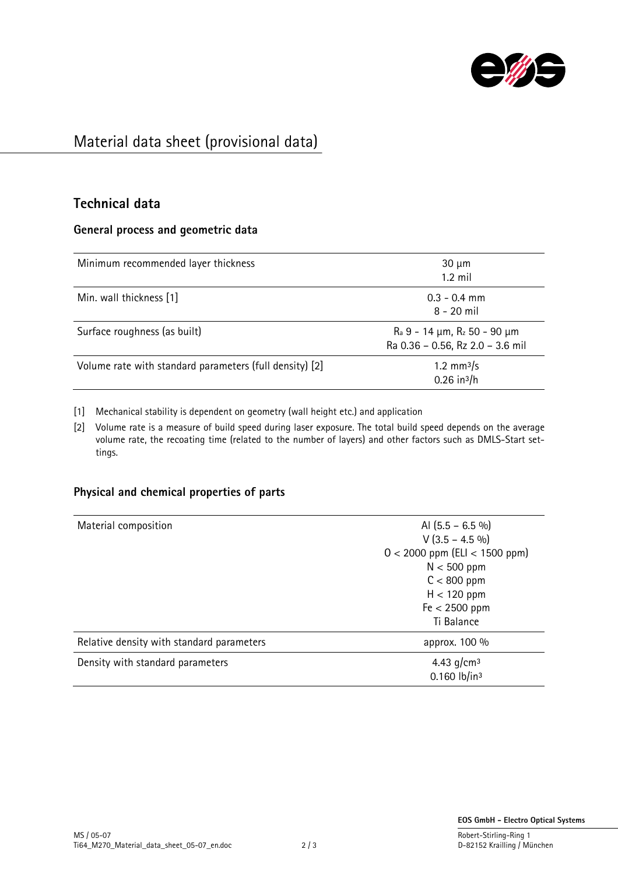

# Material data sheet (provisional data)

### **Technical data**

#### **General process and geometric data**

| Minimum recommended layer thickness                     | $30 \mu m$<br>$1.2$ mil                                               |
|---------------------------------------------------------|-----------------------------------------------------------------------|
| Min. wall thickness [1]                                 | $0.3 - 0.4$ mm<br>$8 - 20$ mil                                        |
| Surface roughness (as built)                            | $R_a$ 9 - 14 µm, $R_z$ 50 - 90 µm<br>Ra 0.36 - 0.56, Rz 2.0 - 3.6 mil |
| Volume rate with standard parameters (full density) [2] | 1.2 mm $3/s$<br>$0.26$ in <sup>3</sup> /h                             |

[1] Mechanical stability is dependent on geometry (wall height etc.) and application

[2] Volume rate is a measure of build speed during laser exposure. The total build speed depends on the average volume rate, the recoating time (related to the number of layers) and other factors such as DMLS-Start settings.

### **Physical and chemical properties of parts**

| Material composition                      | Al $(5.5 - 6.5\% )$                                    |  |
|-------------------------------------------|--------------------------------------------------------|--|
|                                           | $V$ (3.5 – 4.5 %)<br>$0 < 2000$ ppm (ELI $< 1500$ ppm) |  |
|                                           |                                                        |  |
|                                           | $N < 500$ ppm                                          |  |
|                                           | $C < 800$ ppm                                          |  |
|                                           | $H < 120$ ppm                                          |  |
|                                           | $Fe < 2500$ ppm                                        |  |
|                                           | Ti Balance                                             |  |
| Relative density with standard parameters | approx. 100 %                                          |  |
| Density with standard parameters          | 4.43 $q/cm3$                                           |  |
|                                           | $0.160$ lb/in <sup>3</sup>                             |  |